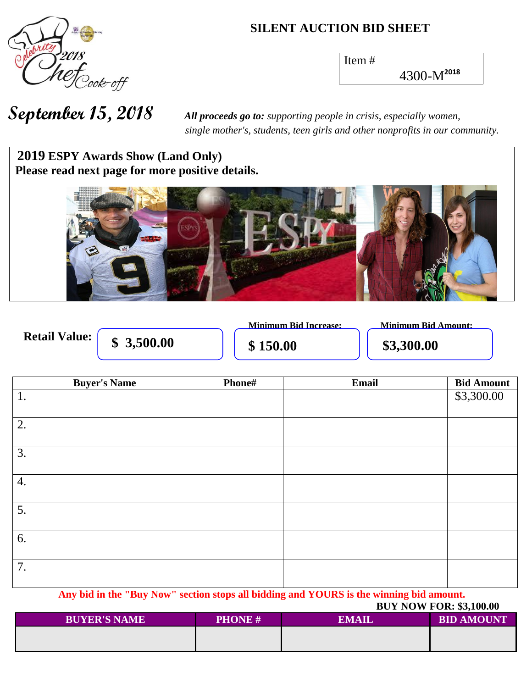

#### **SILENT AUCTION BID SHEET**

Item #

4300-M**<sup>2018</sup>**

 *single mother's, students, teen girls and other nonprofits in our community.*

### 2019 **ESPY Awards Show (Land Only) Please read next page for more positive details.**



**Retail Value:** 

 $\frac{1}{1}$  \$150.00 \$3,300.00

**Minimum Bid Increase: Minimum Bid Amount:**

| <b>Buyer's Name</b> | Phone# | Email | <b>Bid Amount</b> |
|---------------------|--------|-------|-------------------|
| 1.                  |        |       | \$3,300.00        |
| 2.                  |        |       |                   |
| 3.                  |        |       |                   |
| 4.                  |        |       |                   |
| 5.                  |        |       |                   |
| 6.                  |        |       |                   |
| 7.                  |        |       |                   |

**Any bid in the "Buy Now" section stops all bidding and YOURS is the winning bid amount. BUY NOW FOR: \$3,100.00** 

|                     |               | DUI NUW FU <b>N.</b> 33,100.00 |                   |
|---------------------|---------------|--------------------------------|-------------------|
| <b>BUYER'S NAME</b> | <b>PHONE#</b> | EMAIL                          | <b>BID AMOUNT</b> |
|                     |               |                                |                   |
|                     |               |                                |                   |